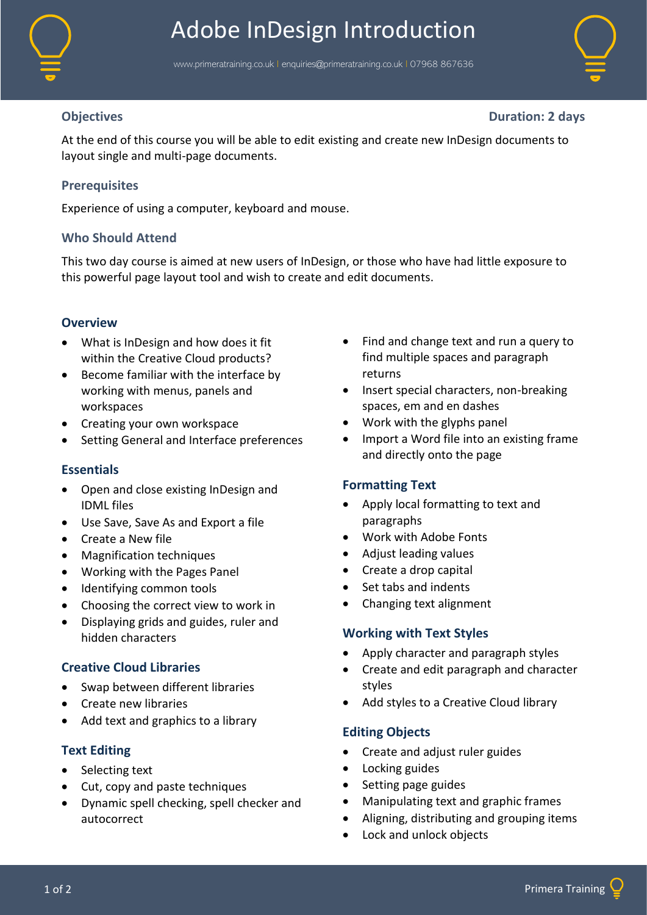

# Adobe InDesign Introduction

www.primeratraining.co.uk | [enquiries@primeratraining.co.uk](mailto:enquiries@primeratraining.co.uk) | 07968\_867636



**Objectives Duration: 2 days**

At the end of this course you will be able to edit existing and create new InDesign documents to layout single and multi-page documents.

# **Prerequisites**

Experience of using a computer, keyboard and mouse.

# **Who Should Attend**

This two day course is aimed at new users of InDesign, or those who have had little exposure to this powerful page layout tool and wish to create and edit documents.

# **Overview**

- What is InDesign and how does it fit within the Creative Cloud products?
- Become familiar with the interface by working with menus, panels and workspaces
- Creating your own workspace
- Setting General and Interface preferences

# **Essentials**

- Open and close existing InDesign and IDML files
- Use Save, Save As and Export a file
- Create a New file
- Magnification techniques
- Working with the Pages Panel
- Identifying common tools
- Choosing the correct view to work in
- Displaying grids and guides, ruler and hidden characters

# **Creative Cloud Libraries**

- Swap between different libraries
- Create new libraries
- Add text and graphics to a library

# **Text Editing**

- Selecting text
- Cut, copy and paste techniques
- Dynamic spell checking, spell checker and autocorrect
- Find and change text and run a query to find multiple spaces and paragraph returns
- Insert special characters, non-breaking spaces, em and en dashes
- Work with the glyphs panel
- Import a Word file into an existing frame and directly onto the page

# **Formatting Text**

- Apply local formatting to text and paragraphs
- Work with Adobe Fonts
- Adjust leading values
- Create a drop capital
- Set tabs and indents
- Changing text alignment

# **Working with Text Styles**

- Apply character and paragraph styles
- Create and edit paragraph and character styles
- Add styles to a Creative Cloud library

# **Editing Objects**

- Create and adjust ruler guides
- Locking guides
- Setting page guides
- Manipulating text and graphic frames
- Aligning, distributing and grouping items
- Lock and unlock objects